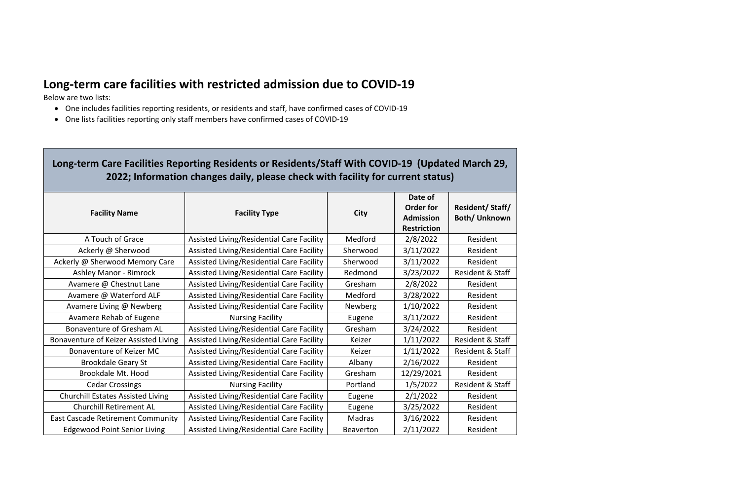## **Long-term care facilities with restricted admission due to COVID-19**

Below are two lists:

- One includes facilities reporting residents, or residents and staff, have confirmed cases of COVID-19
- One lists facilities reporting only staff members have confirmed cases of COVID-19

## **Long-term Care Facilities Reporting Residents or Residents/Staff With COVID-19 (Updated March 29, 2022; Information changes daily, please check with facility for current status)**

| <b>Facility Name</b>                     | <b>Facility Type</b>                      | <b>City</b>      | Date of<br><b>Order for</b><br><b>Admission</b><br><b>Restriction</b> | <b>Resident/Staff/</b><br><b>Both/Unknown</b> |
|------------------------------------------|-------------------------------------------|------------------|-----------------------------------------------------------------------|-----------------------------------------------|
| A Touch of Grace                         | Assisted Living/Residential Care Facility | Medford          | 2/8/2022                                                              | Resident                                      |
| Ackerly @ Sherwood                       | Assisted Living/Residential Care Facility | Sherwood         | 3/11/2022                                                             | Resident                                      |
| Ackerly @ Sherwood Memory Care           | Assisted Living/Residential Care Facility | Sherwood         | 3/11/2022                                                             | Resident                                      |
| <b>Ashley Manor - Rimrock</b>            | Assisted Living/Residential Care Facility | Redmond          | 3/23/2022                                                             | <b>Resident &amp; Staff</b>                   |
| Avamere @ Chestnut Lane                  | Assisted Living/Residential Care Facility | Gresham          | 2/8/2022                                                              | Resident                                      |
| Avamere @ Waterford ALF                  | Assisted Living/Residential Care Facility | Medford          | 3/28/2022                                                             | Resident                                      |
| Avamere Living @ Newberg                 | Assisted Living/Residential Care Facility | <b>Newberg</b>   | 1/10/2022                                                             | Resident                                      |
| Avamere Rehab of Eugene                  | <b>Nursing Facility</b>                   | Eugene           | 3/11/2022                                                             | Resident                                      |
| <b>Bonaventure of Gresham AL</b>         | Assisted Living/Residential Care Facility | Gresham          | 3/24/2022                                                             | Resident                                      |
| Bonaventure of Keizer Assisted Living    | Assisted Living/Residential Care Facility | Keizer           | 1/11/2022                                                             | <b>Resident &amp; Staff</b>                   |
| Bonaventure of Keizer MC                 | Assisted Living/Residential Care Facility | Keizer           | 1/11/2022                                                             | <b>Resident &amp; Staff</b>                   |
| <b>Brookdale Geary St</b>                | Assisted Living/Residential Care Facility | Albany           | 2/16/2022                                                             | Resident                                      |
| Brookdale Mt. Hood                       | Assisted Living/Residential Care Facility | Gresham          | 12/29/2021                                                            | Resident                                      |
| <b>Cedar Crossings</b>                   | <b>Nursing Facility</b>                   | Portland         | 1/5/2022                                                              | Resident & Staff                              |
| <b>Churchill Estates Assisted Living</b> | Assisted Living/Residential Care Facility | Eugene           | 2/1/2022                                                              | Resident                                      |
| <b>Churchill Retirement AL</b>           | Assisted Living/Residential Care Facility | Eugene           | 3/25/2022                                                             | Resident                                      |
| <b>East Cascade Retirement Community</b> | Assisted Living/Residential Care Facility | Madras           | 3/16/2022                                                             | Resident                                      |
| <b>Edgewood Point Senior Living</b>      | Assisted Living/Residential Care Facility | <b>Beaverton</b> | 2/11/2022                                                             | Resident                                      |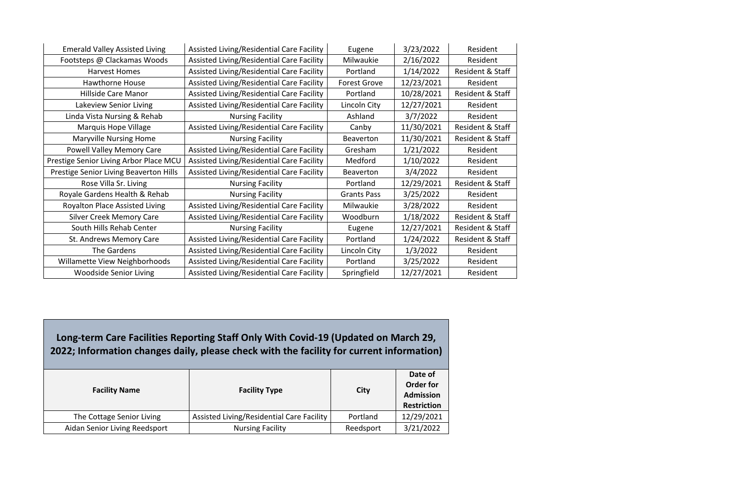| <b>Emerald Valley Assisted Living</b>         | Assisted Living/Residential Care Facility | Eugene              | 3/23/2022  | Resident         |
|-----------------------------------------------|-------------------------------------------|---------------------|------------|------------------|
| Footsteps @ Clackamas Woods                   | Assisted Living/Residential Care Facility | Milwaukie           | 2/16/2022  | Resident         |
| <b>Harvest Homes</b>                          | Assisted Living/Residential Care Facility | Portland            | 1/14/2022  | Resident & Staff |
| <b>Hawthorne House</b>                        | Assisted Living/Residential Care Facility | <b>Forest Grove</b> | 12/23/2021 | Resident         |
| Hillside Care Manor                           | Assisted Living/Residential Care Facility | Portland            | 10/28/2021 | Resident & Staff |
| Lakeview Senior Living                        | Assisted Living/Residential Care Facility | Lincoln City        | 12/27/2021 | Resident         |
| Linda Vista Nursing & Rehab                   | <b>Nursing Facility</b>                   | Ashland             | 3/7/2022   | Resident         |
| <b>Marquis Hope Village</b>                   | Assisted Living/Residential Care Facility | Canby               | 11/30/2021 | Resident & Staff |
| <b>Maryville Nursing Home</b>                 | <b>Nursing Facility</b>                   | <b>Beaverton</b>    | 11/30/2021 | Resident & Staff |
| <b>Powell Valley Memory Care</b>              | Assisted Living/Residential Care Facility | Gresham             | 1/21/2022  | Resident         |
| Prestige Senior Living Arbor Place MCU        | Assisted Living/Residential Care Facility | Medford             | 1/10/2022  | Resident         |
| <b>Prestige Senior Living Beaverton Hills</b> | Assisted Living/Residential Care Facility | <b>Beaverton</b>    | 3/4/2022   | Resident         |
| Rose Villa Sr. Living                         | <b>Nursing Facility</b>                   | Portland            | 12/29/2021 | Resident & Staff |
| Royale Gardens Health & Rehab                 | <b>Nursing Facility</b>                   | <b>Grants Pass</b>  | 3/25/2022  | Resident         |
| <b>Royalton Place Assisted Living</b>         | Assisted Living/Residential Care Facility | Milwaukie           | 3/28/2022  | Resident         |
| <b>Silver Creek Memory Care</b>               | Assisted Living/Residential Care Facility | Woodburn            | 1/18/2022  | Resident & Staff |
| South Hills Rehab Center                      | <b>Nursing Facility</b>                   | Eugene              | 12/27/2021 | Resident & Staff |
| St. Andrews Memory Care                       | Assisted Living/Residential Care Facility | Portland            | 1/24/2022  | Resident & Staff |
| The Gardens                                   | Assisted Living/Residential Care Facility | Lincoln City        | 1/3/2022   | Resident         |
| Willamette View Neighborhoods                 | Assisted Living/Residential Care Facility | Portland            | 3/25/2022  | Resident         |
| <b>Woodside Senior Living</b>                 | Assisted Living/Residential Care Facility | Springfield         | 12/27/2021 | Resident         |

**Long-term Care Facilities Reporting Staff Only With Covid-19 (Updated on March 29, 2022; Information changes daily, please check with the facility for current information)**

| <b>Facility Name</b>          | <b>Facility Type</b>                      | City      | Date of<br><b>Order for</b><br><b>Admission</b><br><b>Restriction</b> |
|-------------------------------|-------------------------------------------|-----------|-----------------------------------------------------------------------|
| The Cottage Senior Living     | Assisted Living/Residential Care Facility | Portland  | 12/29/2021                                                            |
| Aidan Senior Living Reedsport | <b>Nursing Facility</b>                   | Reedsport | 3/21/2022                                                             |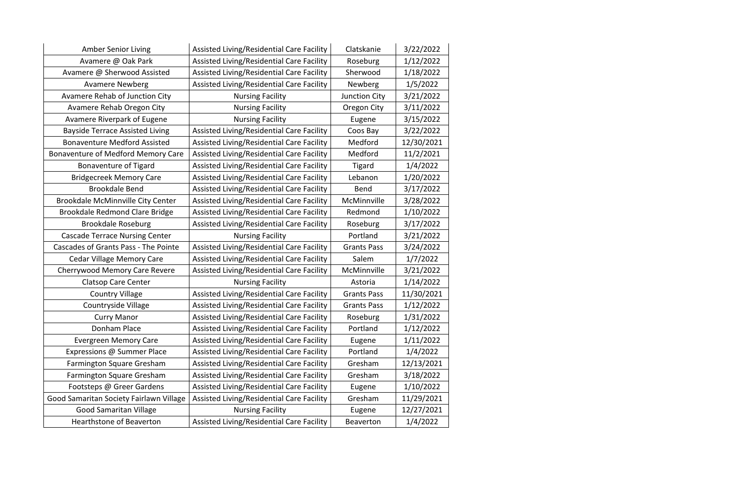| <b>Amber Senior Living</b>                  | Assisted Living/Residential Care Facility | Clatskanie           | 3/22/2022  |
|---------------------------------------------|-------------------------------------------|----------------------|------------|
| Avamere @ Oak Park                          | Assisted Living/Residential Care Facility | Roseburg             | 1/12/2022  |
| Avamere @ Sherwood Assisted                 | Assisted Living/Residential Care Facility | Sherwood             | 1/18/2022  |
| <b>Avamere Newberg</b>                      | Assisted Living/Residential Care Facility | <b>Newberg</b>       | 1/5/2022   |
| Avamere Rehab of Junction City              | <b>Nursing Facility</b>                   | <b>Junction City</b> | 3/21/2022  |
| Avamere Rehab Oregon City                   | <b>Nursing Facility</b>                   | <b>Oregon City</b>   | 3/11/2022  |
| <b>Avamere Riverpark of Eugene</b>          | <b>Nursing Facility</b>                   | Eugene               | 3/15/2022  |
| <b>Bayside Terrace Assisted Living</b>      | Assisted Living/Residential Care Facility | Coos Bay             | 3/22/2022  |
| <b>Bonaventure Medford Assisted</b>         | Assisted Living/Residential Care Facility | Medford              | 12/30/2021 |
| Bonaventure of Medford Memory Care          | Assisted Living/Residential Care Facility | Medford              | 11/2/2021  |
| <b>Bonaventure of Tigard</b>                | Assisted Living/Residential Care Facility | <b>Tigard</b>        | 1/4/2022   |
| <b>Bridgecreek Memory Care</b>              | Assisted Living/Residential Care Facility | Lebanon              | 1/20/2022  |
| <b>Brookdale Bend</b>                       | Assisted Living/Residential Care Facility | <b>Bend</b>          | 3/17/2022  |
| <b>Brookdale McMinnville City Center</b>    | Assisted Living/Residential Care Facility | McMinnville          | 3/28/2022  |
| <b>Brookdale Redmond Clare Bridge</b>       | Assisted Living/Residential Care Facility | Redmond              | 1/10/2022  |
| <b>Brookdale Roseburg</b>                   | Assisted Living/Residential Care Facility | Roseburg             | 3/17/2022  |
| <b>Cascade Terrace Nursing Center</b>       | <b>Nursing Facility</b>                   | Portland             | 3/21/2022  |
| <b>Cascades of Grants Pass - The Pointe</b> | Assisted Living/Residential Care Facility | <b>Grants Pass</b>   | 3/24/2022  |
| <b>Cedar Village Memory Care</b>            | Assisted Living/Residential Care Facility | Salem                | 1/7/2022   |
| <b>Cherrywood Memory Care Revere</b>        | Assisted Living/Residential Care Facility | McMinnville          | 3/21/2022  |
| <b>Clatsop Care Center</b>                  | <b>Nursing Facility</b>                   | Astoria              | 1/14/2022  |
| <b>Country Village</b>                      | Assisted Living/Residential Care Facility | <b>Grants Pass</b>   | 11/30/2021 |
| <b>Countryside Village</b>                  | Assisted Living/Residential Care Facility | <b>Grants Pass</b>   | 1/12/2022  |
| <b>Curry Manor</b>                          | Assisted Living/Residential Care Facility | Roseburg             | 1/31/2022  |
| Donham Place                                | Assisted Living/Residential Care Facility | Portland             | 1/12/2022  |
| <b>Evergreen Memory Care</b>                | Assisted Living/Residential Care Facility | Eugene               | 1/11/2022  |
| Expressions @ Summer Place                  | Assisted Living/Residential Care Facility | Portland             | 1/4/2022   |
| Farmington Square Gresham                   | Assisted Living/Residential Care Facility | Gresham              | 12/13/2021 |
| <b>Farmington Square Gresham</b>            | Assisted Living/Residential Care Facility | Gresham              | 3/18/2022  |
| Footsteps @ Greer Gardens                   | Assisted Living/Residential Care Facility | Eugene               | 1/10/2022  |
| Good Samaritan Society Fairlawn Village     | Assisted Living/Residential Care Facility | Gresham              | 11/29/2021 |
| <b>Good Samaritan Village</b>               | <b>Nursing Facility</b>                   | Eugene               | 12/27/2021 |
| <b>Hearthstone of Beaverton</b>             | Assisted Living/Residential Care Facility | <b>Beaverton</b>     | 1/4/2022   |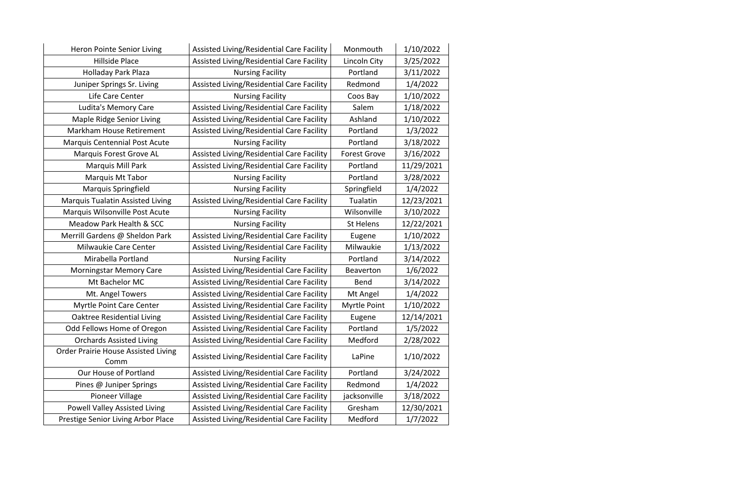| Heron Pointe Senior Living                 | Assisted Living/Residential Care Facility | Monmouth            | 1/10/2022  |
|--------------------------------------------|-------------------------------------------|---------------------|------------|
| <b>Hillside Place</b>                      | Assisted Living/Residential Care Facility | Lincoln City        | 3/25/2022  |
| Holladay Park Plaza                        | <b>Nursing Facility</b>                   | Portland            | 3/11/2022  |
| Juniper Springs Sr. Living                 | Assisted Living/Residential Care Facility | Redmond             | 1/4/2022   |
| Life Care Center                           | <b>Nursing Facility</b>                   | Coos Bay            | 1/10/2022  |
| Ludita's Memory Care                       | Assisted Living/Residential Care Facility | Salem               | 1/18/2022  |
| Maple Ridge Senior Living                  | Assisted Living/Residential Care Facility | Ashland             | 1/10/2022  |
| <b>Markham House Retirement</b>            | Assisted Living/Residential Care Facility | Portland            | 1/3/2022   |
| <b>Marquis Centennial Post Acute</b>       | <b>Nursing Facility</b>                   | Portland            | 3/18/2022  |
| Marquis Forest Grove AL                    | Assisted Living/Residential Care Facility | <b>Forest Grove</b> | 3/16/2022  |
| Marquis Mill Park                          | Assisted Living/Residential Care Facility | Portland            | 11/29/2021 |
| Marquis Mt Tabor                           | <b>Nursing Facility</b>                   | Portland            | 3/28/2022  |
| <b>Marquis Springfield</b>                 | <b>Nursing Facility</b>                   | Springfield         | 1/4/2022   |
| <b>Marquis Tualatin Assisted Living</b>    | Assisted Living/Residential Care Facility | Tualatin            | 12/23/2021 |
| Marquis Wilsonville Post Acute             | <b>Nursing Facility</b>                   | Wilsonville         | 3/10/2022  |
| <b>Meadow Park Health &amp; SCC</b>        | <b>Nursing Facility</b>                   | <b>St Helens</b>    | 12/22/2021 |
| Merrill Gardens @ Sheldon Park             | Assisted Living/Residential Care Facility | Eugene              | 1/10/2022  |
| <b>Milwaukie Care Center</b>               | Assisted Living/Residential Care Facility | Milwaukie           | 1/13/2022  |
| Mirabella Portland                         | <b>Nursing Facility</b>                   | Portland            | 3/14/2022  |
| <b>Morningstar Memory Care</b>             | Assisted Living/Residential Care Facility | <b>Beaverton</b>    | 1/6/2022   |
| Mt Bachelor MC                             | Assisted Living/Residential Care Facility | <b>Bend</b>         | 3/14/2022  |
| Mt. Angel Towers                           | Assisted Living/Residential Care Facility | Mt Angel            | 1/4/2022   |
| <b>Myrtle Point Care Center</b>            | Assisted Living/Residential Care Facility | <b>Myrtle Point</b> | 1/10/2022  |
| <b>Oaktree Residential Living</b>          | Assisted Living/Residential Care Facility | Eugene              | 12/14/2021 |
| Odd Fellows Home of Oregon                 | Assisted Living/Residential Care Facility | Portland            | 1/5/2022   |
| <b>Orchards Assisted Living</b>            | Assisted Living/Residential Care Facility | Medford             | 2/28/2022  |
| <b>Order Prairie House Assisted Living</b> |                                           |                     |            |
| Comm                                       | Assisted Living/Residential Care Facility | LaPine              | 1/10/2022  |
| Our House of Portland                      | Assisted Living/Residential Care Facility | Portland            | 3/24/2022  |
| Pines @ Juniper Springs                    | Assisted Living/Residential Care Facility | Redmond             | 1/4/2022   |
| <b>Pioneer Village</b>                     | Assisted Living/Residential Care Facility | jacksonville        | 3/18/2022  |
| <b>Powell Valley Assisted Living</b>       | Assisted Living/Residential Care Facility | Gresham             | 12/30/2021 |
| Prestige Senior Living Arbor Place         | Assisted Living/Residential Care Facility | Medford             | 1/7/2022   |